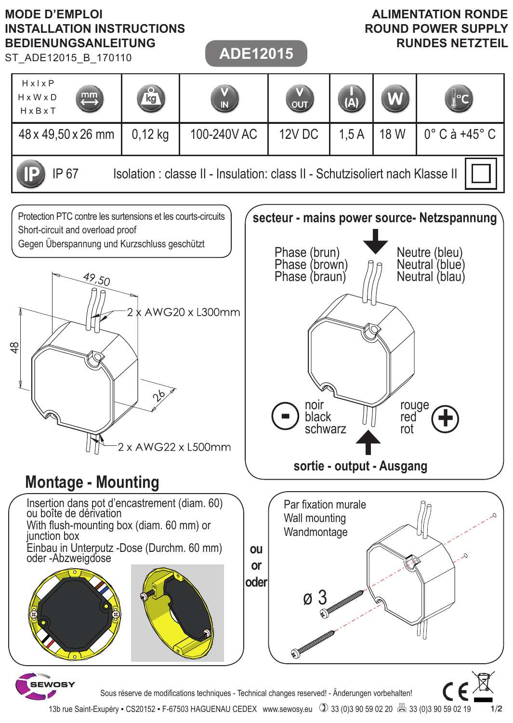

13b rue Saint-Exupéry • CS20152 • F-67503 HAGUENAU CEDEX www.sewosy.eu (2) 33 (0)3 90 59 02 20 8 33 (0)3 90 59 02 19

1/2